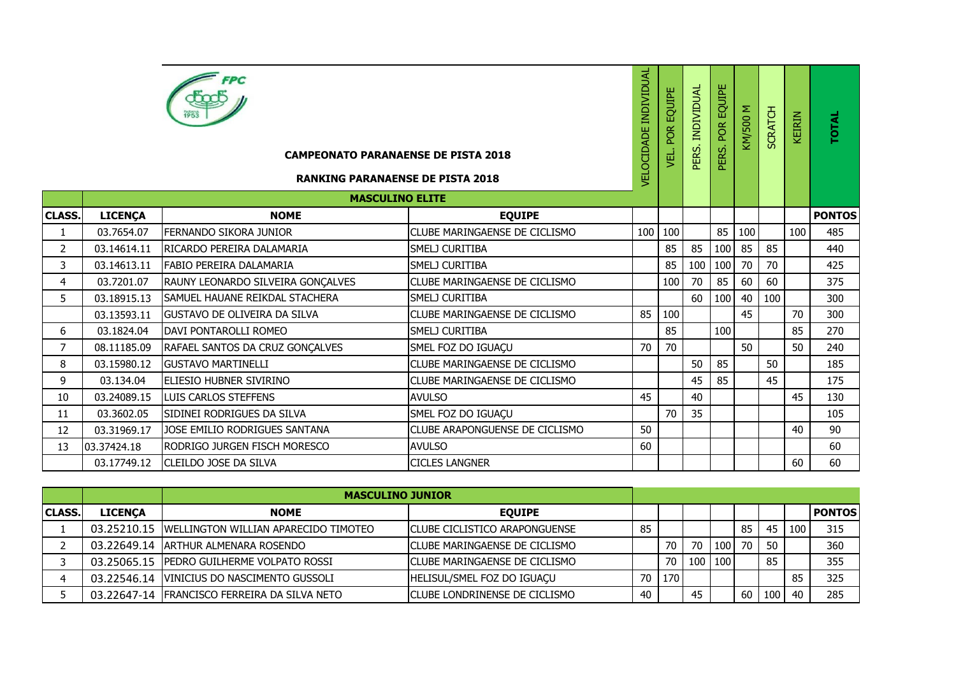|                |                | <b>FPC</b><br><b>CAMPEONATO PARANAENSE DE PISTA 2018</b><br><b>RANKING PARANAENSE DE PISTA 2018</b><br><b>MASCULINO ELITE</b> |                                      | <b>VELOCIDADE INDIVIDUAL</b> | POR EQUIPE<br>yEL. | PERS. INDIVIDUAL | PERS. POR EQUIPE | <b>N 00S/MY</b> | <b>SCRATCH</b> | KEIRIN | <b>TOTAL</b>  |
|----------------|----------------|-------------------------------------------------------------------------------------------------------------------------------|--------------------------------------|------------------------------|--------------------|------------------|------------------|-----------------|----------------|--------|---------------|
| <b>CLASS</b>   | <b>LICENÇA</b> | <b>NOME</b>                                                                                                                   | <b>EQUIPE</b>                        |                              |                    |                  |                  |                 |                |        | <b>PONTOS</b> |
| $\mathbf{1}$   | 03.7654.07     | FERNANDO SIKORA JUNIOR                                                                                                        | CLUBE MARINGAENSE DE CICLISMO        | 100                          | 100                |                  | 85               | 100             |                | 100    | 485           |
| $\overline{2}$ | 03.14614.11    | RICARDO PEREIRA DALAMARIA                                                                                                     | SMELJ CURITIBA                       |                              | 85                 | 85               | 100              | 85              | 85             |        | 440           |
| 3              | 03.14613.11    | <b>FABIO PEREIRA DALAMARIA</b>                                                                                                | SMELJ CURITIBA                       |                              | 85                 | 100              | 100              | 70              | 70             |        | 425           |
| $\overline{4}$ | 03.7201.07     | RAUNY LEONARDO SILVEIRA GONÇALVES                                                                                             | CLUBE MARINGAENSE DE CICLISMO        |                              | 100                | 70               | 85               | 60              | 60             |        | 375           |
| 5              | 03.18915.13    | SAMUEL HAUANE REIKDAL STACHERA                                                                                                | SMELJ CURITIBA                       |                              |                    | 60               | 100              | 40              | 100            |        | 300           |
|                | 03.13593.11    | <b>GUSTAVO DE OLIVEIRA DA SILVA</b>                                                                                           | CLUBE MARINGAENSE DE CICLISMO        | 85                           | 100                |                  |                  | 45              |                | 70     | 300           |
| 6              | 03.1824.04     | DAVI PONTAROLLI ROMEO                                                                                                         | SMELJ CURITIBA                       |                              | 85                 |                  | 100              |                 |                | 85     | 270           |
| $\overline{7}$ | 08.11185.09    | RAFAEL SANTOS DA CRUZ GONÇALVES                                                                                               | SMEL FOZ DO IGUAÇU                   | 70                           | 70                 |                  |                  | 50              |                | 50     | 240           |
| 8              | 03.15980.12    | <b>GUSTAVO MARTINELLI</b>                                                                                                     | CLUBE MARINGAENSE DE CICLISMO        |                              |                    | 50               | 85               |                 | 50             |        | 185           |
| 9              | 03.134.04      | ELIESIO HUBNER SIVIRINO                                                                                                       | CLUBE MARINGAENSE DE CICLISMO        |                              |                    | 45               | 85               |                 | 45             |        | 175           |
| 10             | 03.24089.15    | LUIS CARLOS STEFFENS                                                                                                          | <b>AVULSO</b>                        | 45                           |                    | 40               |                  |                 |                | 45     | 130           |
| 11             | 03.3602.05     | SIDINEI RODRIGUES DA SILVA                                                                                                    | SMEL FOZ DO IGUAÇU                   |                              | 70                 | 35               |                  |                 |                |        | 105           |
| 12             | 03.31969.17    | JOSE EMILIO RODRIGUES SANTANA                                                                                                 | CLUBE ARAPONGUENSE DE CICLISMO       | 50                           |                    |                  |                  |                 |                | 40     | 90            |
| 13             | 03.37424.18    | RODRIGO JURGEN FISCH MORESCO                                                                                                  | <b>AVULSO</b>                        | 60                           |                    |                  |                  |                 |                |        | 60            |
|                | 03.17749.12    | CLEILDO JOSE DA SILVA                                                                                                         | <b>CICLES LANGNER</b>                |                              |                    |                  |                  |                 |                | 60     | 60            |
|                |                |                                                                                                                               |                                      |                              |                    |                  |                  |                 |                |        |               |
|                |                | <b>MASCULINO JUNIOR</b>                                                                                                       |                                      |                              |                    |                  |                  |                 |                |        |               |
| <b>CLASS.</b>  | <b>LICENÇA</b> | <b>NOME</b>                                                                                                                   | <b>EQUIPE</b>                        |                              |                    |                  |                  |                 |                |        | <b>PONTOS</b> |
| $\mathbf{1}$   | 03.25210.15    | <b>WELLINGTON WILLIAN APARECIDO TIMOTEO</b>                                                                                   | <b>CLUBE CICLISTICO ARAPONGUENSE</b> | 85                           |                    |                  |                  | 85              | 45             | 100    | 315           |
| 2              | 03.22649.14    | ARTHUR ALMENARA ROSENDO                                                                                                       | CLUBE MARINGAENSE DE CICLISMO        |                              | 70                 | 70               | 100              | 70              | 50             |        | 360           |
| 3              | 03.25065.15    | PEDRO GUILHERME VOLPATO ROSSI                                                                                                 | CLUBE MARINGAENSE DE CICLISMO        |                              | 70                 | 100              | 100              |                 | 85             |        | 355           |
| $\overline{4}$ | 03.22546.14    | VINICIUS DO NASCIMENTO GUSSOLI                                                                                                | HELISUL/SMEL FOZ DO IGUAÇU           | 70                           | 170                |                  |                  |                 |                | 85     | 325           |
| 5              | 03.22647-14    | <b>FRANCISCO FERREIRA DA SILVA NETO</b>                                                                                       | CLUBE LONDRINENSE DE CICLISMO        | 40                           |                    | 45               |                  |                 | $60$   100     | 40     | 285           |

|                |         | <b>MASCULINO JUNIOR</b>                           |                                       |                 |     |           |     |    |     |                  |            |
|----------------|---------|---------------------------------------------------|---------------------------------------|-----------------|-----|-----------|-----|----|-----|------------------|------------|
| <b>ICLASS.</b> | LICENÇA | <b>NOME</b>                                       | <b>EOUIPE</b>                         |                 |     |           |     |    |     |                  | l PONTOS I |
|                |         | 03.25210.15 IWELLINGTON WILLIAN APARECIDO TIMOTEO | ICLUBE CICLISTICO ARAPONGUENSE        | 85              |     |           |     | 85 | 45  | 100 <sub>1</sub> | 315        |
|                |         | 03.22649.14 ARTHUR ALMENARA ROSENDO               | ICLUBE MARINGAENSE DE CICLISMO        |                 | 70  | 70        | 100 | 70 | 50  |                  | 360        |
|                |         | 03.25065.15 PEDRO GUILHERME VOLPATO ROSSI         | ICLUBE MARINGAENSE DE CICLISMO        |                 | 70  | 100   100 |     |    | 85  |                  | 355        |
|                |         | 03.22546.14 VINICIUS DO NASCIMENTO GUSSOLI        | HELISUL/SMEL FOZ DO IGUAÇU            | 70 <sub>1</sub> | 170 |           |     |    |     | 85               | 325        |
|                |         | 03.22647-14 FRANCISCO FERREIRA DA SILVA NETO      | <b>ICLUBE LONDRINENSE DE CICLISMO</b> |                 |     | 45        |     | 60 | 100 | -40              | 285        |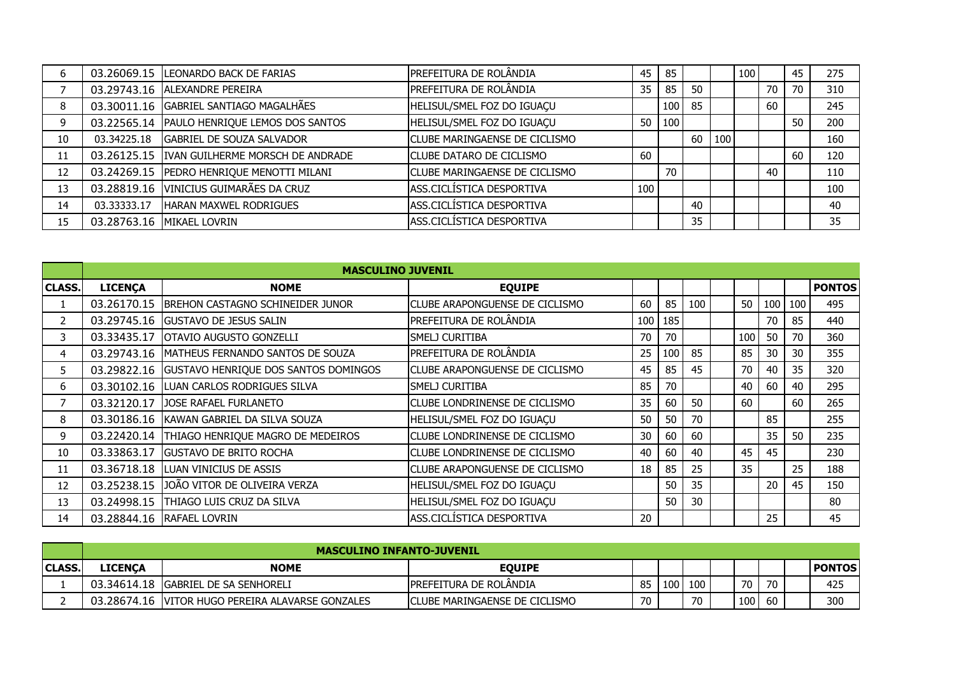| b  |             | 03.26069.15  LEONARDO BACK DE FARIAS         | PREFEITURA DE ROLÂNDIA               | 45  | 85               |    |     | 100 |    | 45 | 275 |
|----|-------------|----------------------------------------------|--------------------------------------|-----|------------------|----|-----|-----|----|----|-----|
|    |             | 03.29743.16   ALEXANDRE PEREIRA              | PREFEITURA DE ROLÂNDIA               | 35  | 85               | 50 |     |     | 70 | 70 | 310 |
| 8  |             | 03.30011.16 GABRIEL SANTIAGO MAGALHÃES       | HELISUL/SMEL FOZ DO IGUAÇU           |     | 100 <sub>1</sub> | 85 |     |     | 60 |    | 245 |
| 9  | 03.22565.14 | PAULO HENRIQUE LEMOS DOS SANTOS              | HELISUL/SMEL FOZ DO IGUAÇU           | 50  | 100              |    |     |     |    | 50 | 200 |
| 10 | 03.34225.18 | <b>GABRIEL DE SOUZA SALVADOR</b>             | <b>CLUBE MARINGAENSE DE CICLISMO</b> |     |                  | 60 | 100 |     |    |    | 160 |
| 11 |             | 03.26125.15 IVAN GUILHERME MORSCH DE ANDRADE | <b>CLUBE DATARO DE CICLISMO</b>      | 60  |                  |    |     |     |    | 60 | 120 |
| 12 |             | 03.24269.15 PEDRO HENRIQUE MENOTTI MILANI    | <b>CLUBE MARINGAENSE DE CICLISMO</b> |     | 70               |    |     |     | 40 |    | 110 |
| 13 |             | 03.28819.16 VINICIUS GUIMARÃES DA CRUZ       | ASS.CICLÍSTICA DESPORTIVA            | 100 |                  |    |     |     |    |    | 100 |
| 14 | 03.33333.17 | <b>HARAN MAXWEL RODRIGUES</b>                | ASS.CICLÍSTICA DESPORTIVA            |     |                  | 40 |     |     |    |    | 40  |
| 15 | 03.28763.16 | <b>MIKAEL LOVRIN</b>                         | ASS.CICLÍSTICA DESPORTIVA            |     |                  | 35 |     |     |    |    | 35  |

|               |                | <b>MASCULINO JUVENIL</b>                    |                                       |     |     |     |     |     |     |               |
|---------------|----------------|---------------------------------------------|---------------------------------------|-----|-----|-----|-----|-----|-----|---------------|
| <b>CLASS.</b> | <b>LICENÇA</b> | <b>NOME</b>                                 | <b>EQUIPE</b>                         |     |     |     |     |     |     | <b>PONTOS</b> |
|               | 03.26170.15    | <b>IBREHON CASTAGNO SCHINEIDER JUNOR</b>    | ICLUBE ARAPONGUENSE DE CICLISMO       | 60  | 85  | 100 | 50  | 100 | 100 | 495           |
| 2             | 03.29745.16    | <b>GUSTAVO DE JESUS SALIN</b>               | <b>PREFEITURA DE ROLÂNDIA</b>         | 100 | 185 |     |     | 70  | 85  | 440           |
| 3.            | 03.33435.17    | <b>OTAVIO AUGUSTO GONZELLI</b>              | <b>SMELJ CURITIBA</b>                 | 70  | 70  |     | 100 | 50  | 70  | 360           |
| 4             | 03.29743.16    | MATHEUS FERNANDO SANTOS DE SOUZA            | <b>PREFEITURA DE ROLÂNDIA</b>         | 25  | 100 | 85  | 85  | 30  | 30  | 355           |
| 5.            | 03.29822.16    | <b>GUSTAVO HENRIQUE DOS SANTOS DOMINGOS</b> | <b>CLUBE ARAPONGUENSE DE CICLISMO</b> | 45  | 85  | 45  | 70  | 40  | 35  | 320           |
| 6             | 03.30102.16    | LUAN CARLOS RODRIGUES SILVA                 | <b>SMELJ CURITIBA</b>                 | 85  | 70  |     | 40  | 60  | 40  | 295           |
| 7             | 03.32120.17    | JOSE RAFAEL FURLANETO                       | <b>CLUBE LONDRINENSE DE CICLISMO</b>  | 35  | 60  | 50  | 60  |     | 60  | 265           |
| 8             | 03.30186.16    | KAWAN GABRIEL DA SILVA SOUZA                | HELISUL/SMEL FOZ DO IGUAÇU            | 50  | 50  | 70  |     | 85  |     | 255           |
| 9             | 03.22420.14    | THIAGO HENRIQUE MAGRO DE MEDEIROS           | <b>CLUBE LONDRINENSE DE CICLISMO</b>  | 30  | 60  | 60  |     | 35  | 50  | 235           |
| 10            | 03.33863.17    | IGUSTAVO DE BRITO ROCHA                     | ICLUBE LONDRINENSE DE CICLISMO        | 40  | 60  | 40  | 45  | 45  |     | 230           |
| 11            | 03.36718.18    | <b>LUAN VINICIUS DE ASSIS</b>               | <b>CLUBE ARAPONGUENSE DE CICLISMO</b> | 18  | 85  | 25  | 35  |     | 25  | 188           |
| 12            | 03.25238.15    | JOÃO VITOR DE OLIVEIRA VERZA                | HELISUL/SMEL FOZ DO IGUAÇU            |     | 50  | 35  |     | 20  | 45  | 150           |
| 13            | 03.24998.15    | THIAGO LUIS CRUZ DA SILVA                   | HELISUL/SMEL FOZ DO IGUAÇU            |     | 50  | 30  |     |     |     | 80            |
| 14            | 03.28844.16    | <b>RAFAEL LOVRIN</b>                        | ASS.CICLÍSTICA DESPORTIVA             | 20  |     |     |     | 25  |     | 45            |

|                |                 | <b>MASCULINO INFANTO-JUVENIL</b>                   |                                |    |     |     |     |     |                 |
|----------------|-----------------|----------------------------------------------------|--------------------------------|----|-----|-----|-----|-----|-----------------|
| <b>ICLASS.</b> | L <b>ICENCA</b> | <b>NOME</b>                                        | <b>EOUIPE</b>                  |    |     |     |     |     | <b>I PONTOS</b> |
|                |                 | 03.34614.18 GABRIEL DE SA SENHORELI                | IPREFEITURA DE ROLANDIA        | 85 | 100 | 100 | 70  | 70  | 425             |
|                |                 | 03.28674.16   VITOR HUGO PEREIRA ALAVARSE GONZALES | ICLUBE MARINGAENSE DE CICLISMO | 70 |     | 70  | 100 | -60 | 300             |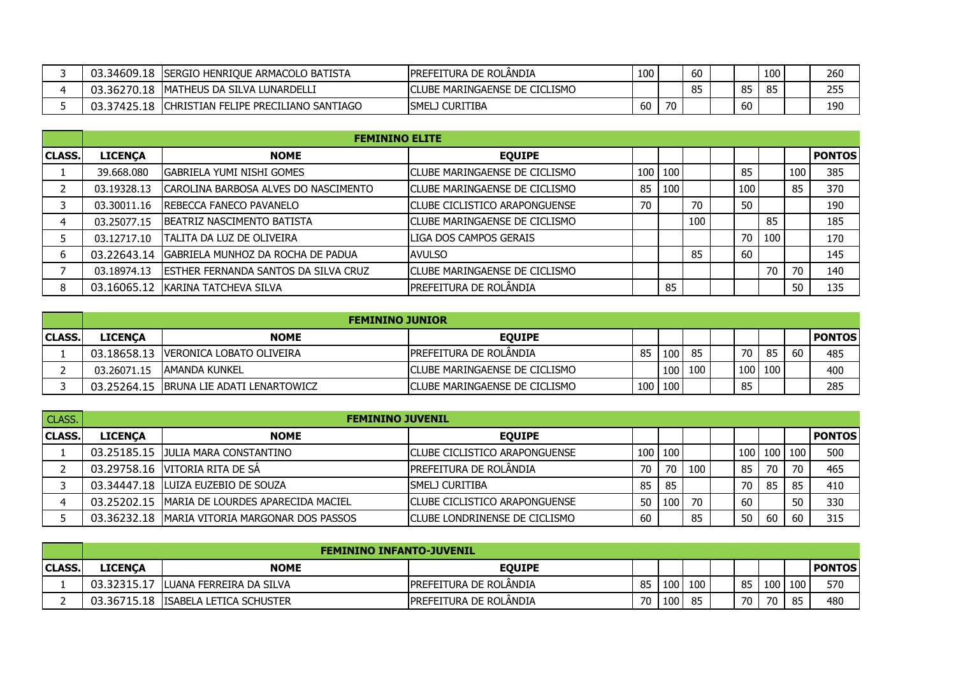| 03.34609.18   | ISERGIO HENRIOUE ARMACOLO BATISTA     | <b>IPREFEITURA DE ROLANDIA</b> | 100 |    | -60 |      | 100 | 260 |
|---------------|---------------------------------------|--------------------------------|-----|----|-----|------|-----|-----|
| ' 3.36270.18. | IMATHEUS DA SILVA LUNARDELLI          | ICLUBE MARINGAENSE DE CICLISMO |     |    | 85  | 85   | 85  | 255 |
| 03.37425.18   | ICHRISTIAN FELIPE PRECILIANO SANTIAGO | <b>ISMELJ CURITIBA</b>         | 60  | 70 |     | . OU |     | 190 |

|               |                | <b>FEMININO ELITE</b>                         |                                |    |           |     |     |     |     |               |
|---------------|----------------|-----------------------------------------------|--------------------------------|----|-----------|-----|-----|-----|-----|---------------|
| <b>CLASS.</b> | <b>LICENÇA</b> | <b>NOME</b>                                   | <b>EQUIPE</b>                  |    |           |     |     |     |     | <b>PONTOS</b> |
|               | 39.668.080     | IGABRIELA YUMI NISHI GOMES                    | ICLUBE MARINGAENSE DE CICLISMO |    | $100$ 100 |     | 85  |     | 100 | 385           |
|               | 03.19328.13    | ICAROLINA BARBOSA ALVES DO NASCIMENTO         | ICLUBE MARINGAENSE DE CICLISMO | 85 | 100       |     | 100 |     | 85  | 370           |
|               | 03.30011.16    | <b>IREBECCA FANECO PAVANELO</b>               | ICLUBE CICLISTICO ARAPONGUENSE | 70 |           | 70  | 50  |     |     | 190           |
|               | 03.25077.15    | <b>IBEATRIZ NASCIMENTO BATISTA</b>            | ICLUBE MARINGAENSE DE CICLISMO |    |           | 100 |     | 85  |     | 185           |
|               | 03.12717.10    | ITALITA DA LUZ DE OLIVEIRA                    | ILIGA DOS CAMPOS GERAIS        |    |           |     | 70  | 100 |     | 170           |
| 6             |                | 03.22643.14 GABRIELA MUNHOZ DA ROCHA DE PADUA | <b>AVULSO</b>                  |    |           | 85  | 60  |     |     | 145           |
|               | 03.18974.13    | <b>IESTHER FERNANDA SANTOS DA SILVA CRUZ</b>  | ICLUBE MARINGAENSE DE CICLISMO |    |           |     |     | 70  | 70  | 140           |
| 8             | 03.16065.12    | IKARINA TATCHEVA SILVA                        | <b>PREFEITURA DE ROLÂNDIA</b>  |    | 85        |     |     |     | 50  | 135           |

|                |                | <b>FEMININO JUNIOR</b>                   |                                       |    |           |         |     |     |     |            |
|----------------|----------------|------------------------------------------|---------------------------------------|----|-----------|---------|-----|-----|-----|------------|
| <b>ICLASS.</b> | <b>LICENCA</b> | <b>NOME</b>                              | <b>EOUIPE</b>                         |    |           |         |     |     |     | l PONTOS I |
|                |                | 03.18658.13 IVERONICA LOBATO OLIVEIRA    | IPREFEITURA DE ROLANDIA               | 85 | 100       | 85      | 70  | 85  | -60 | 485        |
|                | 03.26071.15    | LAMANDA KUNKEL                           | <b>CLUBE MARINGAENSE DE CICLISMO</b>  |    |           | 100 100 | 100 | 100 |     | 400        |
|                |                | 03.25264.15 IBRUNA LIE ADATI LENARTOWICZ | <b>ICLUBE MARINGAENSE DE CICLISMO</b> |    | 100   100 |         | 85  |     |     | 285        |

| <b>CLASS.</b> | <b>FEMININO JUVENIL</b> |                                                 |                                       |    |         |     |  |     |    |         |               |
|---------------|-------------------------|-------------------------------------------------|---------------------------------------|----|---------|-----|--|-----|----|---------|---------------|
| <b>CLASS.</b> | <b>LICENCA</b>          | <b>NOME</b>                                     | <b>EOUIPE</b>                         |    |         |     |  |     |    |         | <b>PONTOS</b> |
|               |                         | 03.25185.15 JULIA MARA CONSTANTINO              | ICLUBE CICLISTICO ARAPONGUENSE        |    | 100 100 |     |  | 100 |    | 100 100 | 500           |
|               |                         | 03.29758.16 VITORIA RITA DE SA                  | <b>IPREFEITURA DE ROLÂNDIA</b>        | 70 | 70      | 100 |  | 85  | 70 | 70      | 465           |
|               |                         | 03.34447.18   LUIZA EUZEBIO DE SOUZA            | ISMELJ CURITIBA                       | 85 | 85      |     |  | 70  | 85 | 85      | 410           |
|               |                         | 03.25202.15   MARIA DE LOURDES APARECIDA MACIEL | <b>ICLUBE CICLISTICO ARAPONGUENSE</b> | 50 | 100     | 70  |  | 60  |    | 50      | 330           |
|               |                         | 03.36232.18 IMARIA VITORIA MARGONAR DOS PASSOS  | ICLUBE LONDRINENSE DE CICLISMO        | 60 |         | 85  |  | 50  | 60 | 60      | 315           |

|                |                | <b>FEMININO INFANTO-JUVENIL</b>       |                                |    |     |     |    |       |       |        |
|----------------|----------------|---------------------------------------|--------------------------------|----|-----|-----|----|-------|-------|--------|
| <b>ICLASS.</b> | <b>LICENCA</b> | <b>NOME</b>                           | <b>EQUIPE</b>                  |    |     |     |    |       |       | PONTOS |
|                | 03.32315.17    | ' ILUANA FERREIRA DA SILVA            | <b>IPREFEITURA DE ROLANDIA</b> | 85 | 100 | 100 | 85 | 100 I | 100 l | 570    |
| -              |                | 03.36715.18   ISABELA LETICA SCHUSTER | <b>IPREFEITURA DE ROLANDIA</b> | 70 | 100 | 85  | 70 | 70    | -85   | 480    |